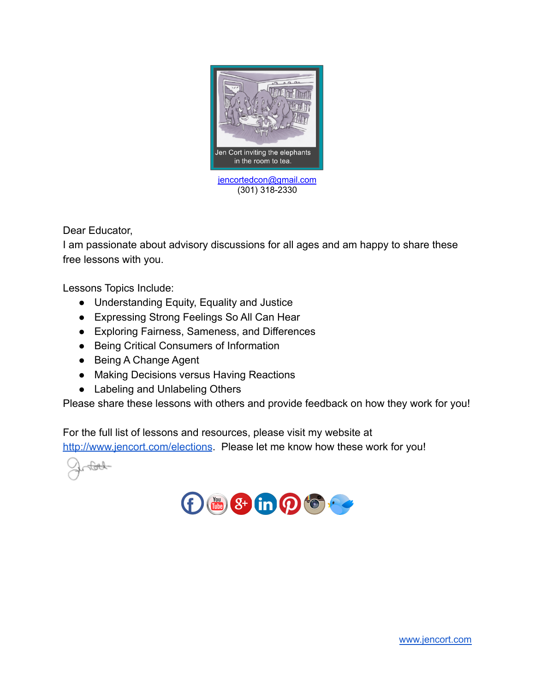

Dear Educator,

I am passionate about advisory discussions for all ages and am happy to share these free lessons with you.

Lessons Topics Include:

- Understanding Equity, Equality and Justice
- Expressing Strong Feelings So All Can Hear
- Exploring Fairness, Sameness, and Differences
- Being Critical Consumers of Information
- Being A Change Agent
- Making Decisions versus Having Reactions
- Labeling and Unlabeling Others

Please share these lessons with others and provide feedback on how they work for you!

For the full list of lessons and resources, please visit my website at <http://www.jencort.com/elections>. Please let me know how these work for you!

 $\overline{\text{G}}$ 

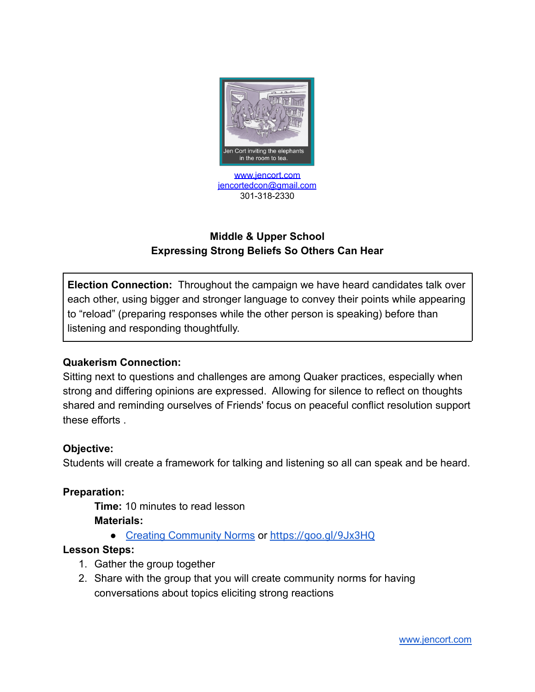

# **Middle & Upper School Expressing Strong Beliefs So Others Can Hear**

**Election Connection:** Throughout the campaign we have heard candidates talk over each other, using bigger and stronger language to convey their points while appearing to "reload" (preparing responses while the other person is speaking) before than listening and responding thoughtfully.

### **Quakerism Connection:**

Sitting next to questions and challenges are among Quaker practices, especially when strong and differing opinions are expressed. Allowing for silence to reflect on thoughts shared and reminding ourselves of Friends' focus on peaceful conflict resolution support these efforts .

### **Objective:**

Students will create a framework for talking and listening so all can speak and be heard.

### **Preparation:**

**Time:** 10 minutes to read lesson **Materials:**

● [Creating Community Norms](http://www.jencort.com/single-post/2016/09/10/Establishing-Community-Norms) or <https://goo.gl/9Jx3HQ>

## **Lesson Steps:**

- 1. Gather the group together
- 2. Share with the group that you will create community norms for having conversations about topics eliciting strong reactions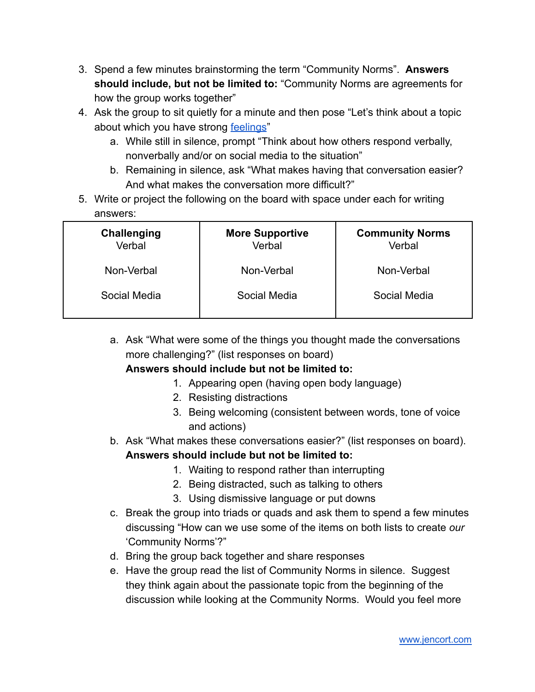- 3. Spend a few minutes brainstorming the term "Community Norms". **Answers should include, but not be limited to:** "Community Norms are agreements for how the group works together"
- 4. Ask the group to sit quietly for a minute and then pose "Let's think about a topic about which you have strong [feelings](http://media.wix.com/ugd/6838fe_1db3ad32a4124e48a2e4d6e7518f1414.pdf)"
	- a. While still in silence, prompt "Think about how others respond verbally, nonverbally and/or on social media to the situation"
	- b. Remaining in silence, ask "What makes having that conversation easier? And what makes the conversation more difficult?"
- 5. Write or project the following on the board with space under each for writing answers:

| <b>Challenging</b><br>Verbal | <b>More Supportive</b><br>Verbal | <b>Community Norms</b><br>Verbal |
|------------------------------|----------------------------------|----------------------------------|
| Non-Verbal                   | Non-Verbal                       | Non-Verbal                       |
| Social Media                 | Social Media                     | Social Media                     |

a. Ask "What were some of the things you thought made the conversations more challenging?" (list responses on board)

## **Answers should include but not be limited to:**

- 1. Appearing open (having open body language)
- 2. Resisting distractions
- 3. Being welcoming (consistent between words, tone of voice and actions)
- b. Ask "What makes these conversations easier?" (list responses on board). **Answers should include but not be limited to:**
	- 1. Waiting to respond rather than interrupting
	- 2. Being distracted, such as talking to others
	- 3. Using dismissive language or put downs
- c. Break the group into triads or quads and ask them to spend a few minutes discussing "How can we use some of the items on both lists to create *our* 'Community Norms'?"
- d. Bring the group back together and share responses
- e. Have the group read the list of Community Norms in silence. Suggest they think again about the passionate topic from the beginning of the discussion while looking at the Community Norms. Would you feel more